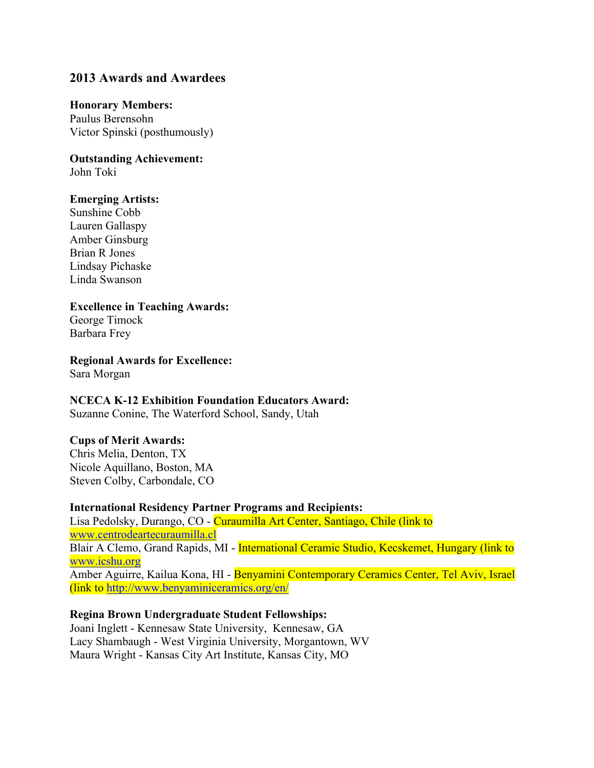# **2013 Awards and Awardees**

## **Honorary Members:**

Paulus Berensohn Victor Spinski (posthumously)

**Outstanding Achievement:**

John Toki

# **Emerging Artists:**

Sunshine Cobb Lauren Gallaspy Amber Ginsburg Brian R Jones Lindsay Pichaske Linda Swanson

# **Excellence in Teaching Awards:**

George Timock Barbara Frey

**Regional Awards for Excellence:**

Sara Morgan

# **NCECA K-12 Exhibition Foundation Educators Award:**

Suzanne Conine, The Waterford School, Sandy, Utah

# **Cups of Merit Awards:**

Chris Melia, Denton, TX Nicole Aquillano, Boston, MA Steven Colby, Carbondale, CO

# **International Residency Partner Programs and Recipients:**

Lisa Pedolsky, Durango, CO - Curaumilla Art Center, Santiago, Chile (link to www.centrodeartecuraumilla.cl Blair A Clemo, Grand Rapids, MI - International Ceramic Studio, Kecskemet, Hungary (link to www.icshu.org Amber Aguirre, Kailua Kona, HI - Benyamini Contemporary Ceramics Center, Tel Aviv, Israel (link to http://www.benyaminiceramics.org/en/

# **Regina Brown Undergraduate Student Fellowships:**

Joani Inglett - Kennesaw State University, Kennesaw, GA Lacy Shambaugh - West Virginia University, Morgantown, WV Maura Wright - Kansas City Art Institute, Kansas City, MO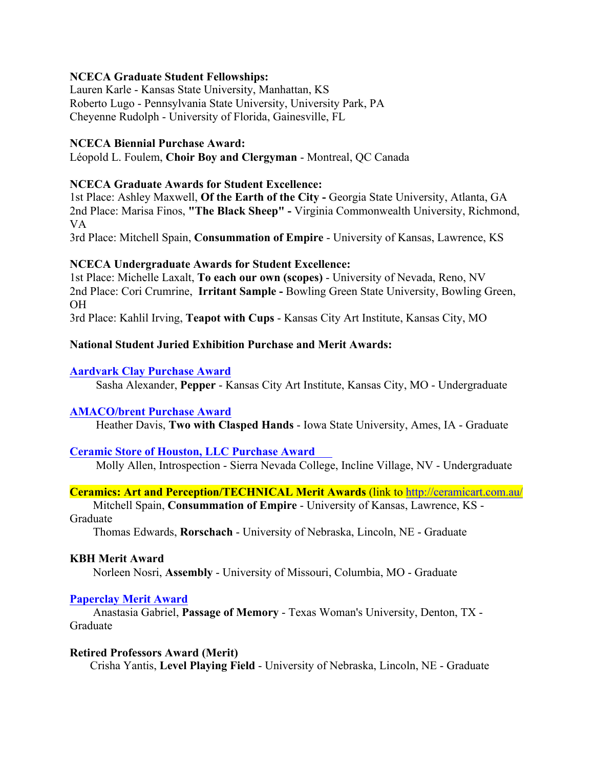## **NCECA Graduate Student Fellowships:**

Lauren Karle - Kansas State University, Manhattan, KS Roberto Lugo - Pennsylvania State University, University Park, PA Cheyenne Rudolph - University of Florida, Gainesville, FL

## **NCECA Biennial Purchase Award:**

Léopold L. Foulem, **Choir Boy and Clergyman** - Montreal, QC Canada

## **NCECA Graduate Awards for Student Excellence:**

1st Place: Ashley Maxwell, **Of the Earth of the City -** Georgia State University, Atlanta, GA 2nd Place: Marisa Finos, **"The Black Sheep" -** Virginia Commonwealth University, Richmond, VA

3rd Place: Mitchell Spain, **Consummation of Empire** - University of Kansas, Lawrence, KS

## **NCECA Undergraduate Awards for Student Excellence:**

1st Place: Michelle Laxalt, **To each our own (scopes)** - University of Nevada, Reno, NV 2nd Place: Cori Crumrine, **Irritant Sample -** Bowling Green State University, Bowling Green, OH

3rd Place: Kahlil Irving, **Teapot with Cups** - Kansas City Art Institute, Kansas City, MO

## **National Student Juried Exhibition Purchase and Merit Awards:**

#### **Aardvark Clay Purchase Award**

Sasha Alexander, **Pepper** - Kansas City Art Institute, Kansas City, MO - Undergraduate

#### **AMACO/brent Purchase Award**

Heather Davis, **Two with Clasped Hands** - Iowa State University, Ames, IA - Graduate

# **Ceramic Store of Houston, LLC Purchase Award**

Molly Allen, Introspection - Sierra Nevada College, Incline Village, NV - Undergraduate

# **Ceramics: Art and Perception/TECHNICAL Merit Awards** (link to http://ceramicart.com.au/

 Mitchell Spain, **Consummation of Empire** - University of Kansas, Lawrence, KS - Graduate

Thomas Edwards, **Rorschach** - University of Nebraska, Lincoln, NE - Graduate

#### **KBH Merit Award**

Norleen Nosri, **Assembly** - University of Missouri, Columbia, MO - Graduate

#### **Paperclay Merit Award**

 Anastasia Gabriel, **Passage of Memory** - Texas Woman's University, Denton, TX - Graduate

#### **Retired Professors Award (Merit)**

Crisha Yantis, **Level Playing Field** - University of Nebraska, Lincoln, NE - Graduate